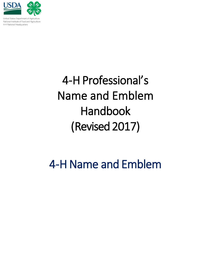

United States Department of Agriculture National Institute of Food and Agriculture 4-H National Headquarters

# 4-H Professional's Name and Emblem Handbook (Revised 2017)

## 4-H Name and Emblem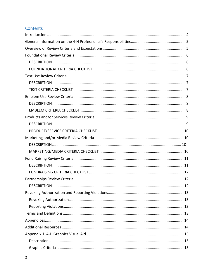## Contents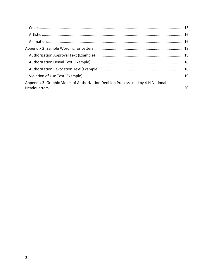| Appendix 3: Graphic Model of Authorization Decision Process used by 4-H National |  |
|----------------------------------------------------------------------------------|--|
|                                                                                  |  |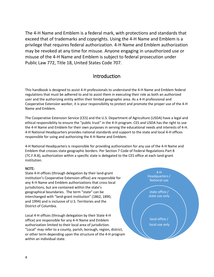The 4-H Name and Emblem is a federal mark, with protections and standards that exceed that of trademarks and copyrights. Using the 4-H Name and Emblem is a privilege that requires federal authorization. 4-H Name and Emblem authorization may be revoked at any time for misuse. Anyone engaging in unauthorized use or misuse of the 4-H Name and Emblem is subject to federal prosecution under Public Law 772, Title 18, United States Code 707.

## Introduction

<span id="page-3-0"></span>This handbook is designed to assist 4-H professionals to understand the 4-H Name and Emblem federal regulations that must be adhered to and to assist them in executing their role as both an authorized user and the authorizing entity within their limited geographic area. As a 4-H professional and Cooperative Extension worker, it is your responsibility to protect and promote the proper use of the 4-H Name and Emblem.

The Cooperative Extension Service (CES) and the U.S. Department of Agriculture (USDA) have a legal and ethical responsibility to ensure the "public trust" in the 4-H program. CES and USDA has the right to use the 4-H Name and Emblem for their own purposes in serving the educational needs and interests of 4-H. 4-H National Headquarters provides national standards and support to the state and local 4-H offices responsible for using and authorizing the 4-H Name and Emblem.

4-H National Headquarters is responsible for providing authorization for any use of the 4-H Name and Emblem that crosses state geographic borders. Per Section 7 Code of Federal Regulations Part 8 (7C.F.R.8), authorization within a specific state is delegated to the CES office at each land-grant institution.

#### NOTE:

State 4-H offices (through delegation by their land-grant institution's Cooperative Extension office) are responsible for any 4-H Name and Emblem authorizations that cross local jurisdictions, but are contained within the state's geographical boundaries. The term "state" can be interchanged with "land-grant institution" (1862, 1890, and 1994) and is inclusive of U.S. Territories and the District of Columbia.

Local 4-H offices (through delegation by their State 4-H office) are responsible for any 4-H Name and Emblem authorization limited to their local area of jurisdiction. "Local" may refer to a county, parish, borough, region, district, or other term depending upon the structure of the 4-H program within an individual state.

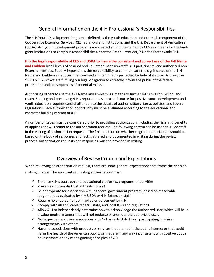## General Information on the 4-H Professional's Responsibilities

<span id="page-4-0"></span>The 4-H Youth Development Program is defined as the youth education and outreach component of the Cooperative Extension Services (CES) at land-grant institutions, and the U.S. Department of Agriculture (USDA). 4-H youth development programs are created and implemented by CES as a means for the landgrant institutions to carry out responsibilities under the Smith-Lever Act, 7 United States Code 341.

**It is the legal responsibility of CES and USDA to insure the consistent and correct use of the 4-H Name and Emblem** by all levels of salaried and volunteer Extension staff, 4-H participants, and authorized non-Extension entities. Equally important is the responsibility to communicate the significance of the 4-H Name and Emblem as a government-owned emblem that is protected by federal statute. By using the "18 U.S.C. 707" we are fulfilling our legal obligation to correctly inform the public of the federal protections and consequences of potential misuse.

Authorizing others to use the 4-H Name and Emblem is a means to further 4-H's mission, vision, and reach. Shaping and preserving 4-H's reputation as a trusted source for positive youth development and youth education requires careful attention to the details of authorization criteria, policies, and federal regulations. Each authorization opportunity must be evaluated according to the educational and character building mission of 4-H.

A number of issues must be considered prior to providing authorization, including the risks and benefits of applying the 4-H brand to the authorization request. The following criteria can be used to guide staff in the vetting of authorization requests. The final decision on whether to grant authorization should be based on the body of responses and facts gathered and documented in writing during the review process. Authorization requests and responses must be provided in writing.

## Overview of Review Criteria and Expectations

<span id="page-4-1"></span>When reviewing an authorization request, there are some general expectations that frame the decision making process. The applicant requesting authorization must:

- $\checkmark$  Enhance 4-H's outreach and educational platforms, programs, or activities.
- $\checkmark$  Preserve or promote trust in the 4-H brand.
- $\checkmark$  Be appropriate for association with a federal government program, based on reasonable judgement as evaluated by 4-H USDA or 4-H Extension staff.
- $\checkmark$  Require no endorsement or implied endorsement by 4-H.
- $\checkmark$  Comply with all applicable federal, state, and local laws and regulations.
- $\checkmark$  Allow 4-H to independently determine how to acknowledge the authorized user, which will be in a value-neutral manner that will not endorse or promote the authorized user.
- $\checkmark$  Not expect an exclusive association with 4-H or restrict 4-H from participating in similar arrangements with others.
- $\checkmark$  Have no associations with products or services that are not in the public interest or that could harm the health of the American public, or that are in any way inconsistent with positive youth development or any of the guiding principles of 4-H.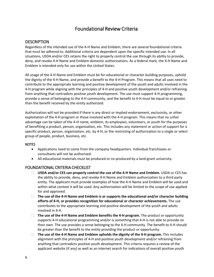## Foundational Review Criteria

#### <span id="page-5-1"></span><span id="page-5-0"></span>**DESCRIPTION**

Regardless of the intended use of the 4-H Name and Emblem, there are several foundational criteria that must be adhered to. Additional criteria are dependent upon the specific intended use. In all situations, USDA and/or CES retains the right to properly control the use through its ability to provide, deny, and revoke 4-H Name and Emblem domestic authorizations. As a federal mark, the 4-H Name and Emblem is intended only for use within the United States.

All usage of the 4-H Name and Emblem must be for educational or character building purposes, uphold the dignity of the 4-H Name, and provide a benefit to the 4-H Program. This means that all uses need to contribute to the appropriate learning and positive development of the youth and adults involved in the 4-H program while aligning with the principles of 4-H and positive youth development and/or refraining from anything that contradicts positive youth development. The use must support 4-H programming, provide a sense of belonging to the 4-H community, and the benefit to 4-H must be equal to or greater than the benefit received by the entity authorized.

Authorization will not be provided if there is any direct or implied endorsement, exclusivity, or other exploitation of the 4-H program or those involved with the 4-H program. This means that no unfair advantage can be taken of the 4-H name, emblem, its employees, volunteers, or youth for the purposes of benefiting a product, person, organization, etc. This includes any statement or action of support for a specific product, person, organization, etc. by 4-H, or the restricting of authorization to a single or select group of people, product, business, etc.

#### NOTES

- Applications need to come from the company headquarters. Individual franchisees or consultants will not be authorized.
- All educational materials must be produced or co-produced by a land-grant university.

#### <span id="page-5-2"></span>FOUNDATIONAL CRITERIA CHECKLIST

- **USDA and/or CES can properly control the use of the 4-H Name and Emblem.** USDA or CES has the ability to provide, deny, and revoke 4-H Name and Emblem authorization to a third party entity. The applicant must provide examples of how the 4-H Name and Emblem will be used and within what context it will be used. Any authorization will be limited to the scope of use applied for and approved.
- **The use of the 4-H Name and Emblem is or supports the educational and/or character building efforts of 4-H, or provides recognition for educational or character achievements.** The use contributes to the appropriate learning and positive development of the youth and adults involved in 4-H.
- **The use of the 4-H Name and Emblem benefits the 4-H program.** The product or opportunity supports 4-H educational programming and/or is something that 4-H is not able to provide on their own. The use provides a sense belonging to the 4-H community. The benefit to 4-H should be greater than the benefit to the entity providing the product or opportunity.
- **The use of the 4-H Name and Emblem upholds the dignity of the 4-H program.** This includes alignment with the principles of 4-H and positive youth development and/or refraining from anything that contradicts positive youth development. This criteria requires a review of the applicant website (if any) as well as an internet search for indications of overall positive youth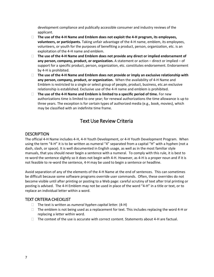development compliance and publically accessible consumer and industry reviews of the applicant.

- **The use of the 4-H Name and Emblem does not exploit the 4-H program, its employees, volunteers, or participants.** Taking unfair advantage of the 4-H name, emblem, its employees, volunteers, or youth for the purposes of benefiting a product, person, organization, etc. is an exploitation of the 4-H name and emblem.
- **The use of the 4-H Name and Emblem does not provide any direct or implied endorsement of any person, company, product, or organization.** A statement or action – direct or implied – of support for a specific product, person, organization, etc. constitutes endorsement. Endorsement by 4-H is prohibited.
- **The use of the 4-H Name and Emblem does not provide or imply an exclusive relationship with any person, company, product, or organization.** When the availability of 4-H Name and Emblem is restricted to a single or select group of people, product, business, etc.an exclusive relationship is established. Exclusive use of the 4-H name and emblem is prohibited.
- **The use of the 4-H Name and Emblem is limited to a specific period of time.** For new authorizations time is limited to one year; for renewal authorizations the time allowance is up to three years. The exception is for certain types of authorized media (e.g., book, movies), which may be classified with an indefinite time frame.

## Text Use Review Criteria

#### <span id="page-6-1"></span><span id="page-6-0"></span>**DESCRIPTION**

The official 4-H Name includes 4-H, 4-H Youth Development, or 4-H Youth Development Program. When using the term "4-H" it is to be written as numeral "4" separated from a capital "H" with a hyphen (not a dash, slash, or space). It is well documented in English usage, as well as in the most familiar style manuals, that you should never begin a sentence with a numeral. To comply with this rule, it is best to re-word the sentence slightly so it does not begin with 4-H. However, as 4-H is a proper noun and if it is not feasible to re-word the sentence, 4-H may be used to begin a sentence or headline.

Avoid separation of any of the elements of the 4-H Name at the end of sentences. This can sometimes be difficult because some software programs override user commands. Often, these overrides do not become visible until after printing or posting to a Web page: careful scrutiny of text after trial printing or posting is advised. The 4-H Emblem may not be used in place of the word "4-H" in a title or text, or to replace an individual letter within a word.

#### <span id="page-6-2"></span>TEXT CRITERIA CHECKLIST

- The text is written as *numeral hyphen capital letter.* (4-H)
- $\Box$  The emblem is not being used as a replacement for text. This includes replacing the word 4-H or replacing a letter within word.
- $\Box$  The context of the use is accurate with correct content. Statements about 4-H are factual.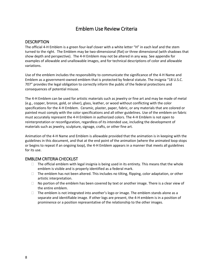## Emblem Use Review Criteria

#### <span id="page-7-1"></span><span id="page-7-0"></span>**DESCRIPTION**

The official 4-H Emblem is a green four-leaf clover with a white letter "H" in each leaf and the stem turned to the right. The Emblem may be two-dimensional (flat) or three dimensional (with shadows that show depth and perspective). The 4-H Emblem may not be altered in any way. See appendix for examples of allowable and unallowable images, and for technical descriptions of color and allowable variations.

Use of the emblem includes the responsibility to communicate the significance of the 4-H Name and Emblem as a government-owned emblem that is protected by federal statute. The insignia "18 U.S.C. 707" provides the legal obligation to correctly inform the public of the federal protections and consequences of potential misuse.

The 4-H Emblem can be used for artistic materials such as jewelry or fine art and may be made of metal (e.g., copper, bronze, gold, or silver), glass, leather, or wood without conflicting with the color specifications for the 4-H Emblem. Ceramic, plaster, paper, fabric, or any materials that are colored or painted must comply with the color specifications and all other guidelines. Use of the emblem on fabric must accurately represent the 4-H Emblem in authorized colors. The 4-H Emblem is not open to reinterpretation or reconfiguration, regardless of its intended use, including the development of materials such as jewelry, sculpture, signage, crafts, or other fine art.

Animation of the 4-H Name and Emblem is allowable provided that the animation is in keeping with the guidelines in this document, and that at the end point of the animation (where the animated loop stops or begins to repeat if an ongoing loop), the 4-H Emblem appears in a manner that meets all guidelines for its use.

#### <span id="page-7-2"></span>EMBLEM CRITERIA CHECKLIST

- $\Box$  The official emblem with legal insignia is being used in its entirety. This means that the whole emblem is visible and is properly identified as a federal mark.
- $\Box$  The emblem has not been altered. This includes no tilting, flipping, color adaptation, or other artistic interpretation.
- $\Box$  No portion of the emblem has been covered by text or another image. There is a clear view of the entire emblem.
- $\Box$  The emblem is not integrated into another's logo or image. The emblem stands alone as a separate and identifiable image. If other logs are present, the 4-H emblem is in a position of prominence or a position representative of the relationship to the other images.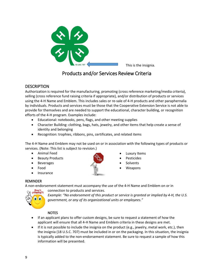

This is the insignia.

## Products and/or Services Review Criteria

#### <span id="page-8-1"></span><span id="page-8-0"></span>**DESCRIPTION**

Authorization is required for the manufacturing, promoting (cross reference marketing/media criteria), selling (cross reference fund raising criteria if appropriate), and/or distribution of products or services using the 4-H Name and Emblem. This includes sales or re-sale of 4-H products and other paraphernalia by individuals. Products and services must be those that the Cooperative Extension Service is not able to provide for themselves and are needed to support the educational, character building, or recognition efforts of the 4-H program. Examples include:

- Educational: notebooks, pens, flags, and other meeting supplies
- Character Building: clothing, bags, hats, jewelry, and other items that help create a sense of identity and belonging
- Recognition: trophies, ribbons, pins, certificates, and related items

The 4-H Name and Emblem may not be used on or in association with the following types of products or services. (Note: This list is subject to revision.)

- Animal Feed
- **Beauty Products**
- **Beverages**
- Food
- **Insurance**



- **Luxury Items**
- **Pesticides**
- **Solvents**
- Weapons

#### REMINDER

A non-endorsement statement must accompany the use of the 4-H Name and Emblem on or in connection to products and services.



*Example: "No endorsement of this product or service is granted or implied by 4-H, the U.S. government, or any of its organizational units or employees."*

#### **NOTES**

- If an applicant plans to offer custom designs, be sure to request a statement of how the applicant will ensure that all 4-H Name and Emblem criteria in these designs are met.
- If it is not possible to include the insignia on the product (e.g., jewelry, metal work, etc.), then the insignia (18 U.S.C. 707) must be included in or on the packaging. In this situation, the insignia is typically added to the non-endorsement statement. Be sure to request a sample of how this information will be presented.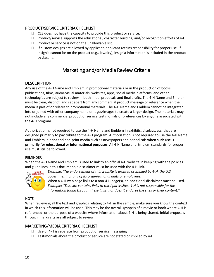#### <span id="page-9-0"></span>PRODUCT/SERVICE CRITERIA CHECKLIST

- $\Box$  CES does not have the capacity to provide this product or service.
- $\Box$  Product/service supports the educational, character building, and/or recognition efforts of 4-H.
- $\Box$  Product or service is not on the unallowable list.
- $\Box$  If custom designs are allowed by applicant, applicant retains responsibility for proper use. If insignia cannot be on the product (e.g., jewelry), insignia information is included in the product packaging.

## Marketing and/or Media Review Criteria

#### <span id="page-9-2"></span><span id="page-9-1"></span>**DESCCRIPTION**

Any use of the 4-H Name and Emblem in promotional materials or in the production of books, publications, films, audio-visual materials, websites, apps, social media platforms, and other technologies are subject to review in both initial proposals and final drafts. The 4-H Name and Emblem must be clear, distinct, and set apart from any commercial product message or reference when the media is part of or relates to promotional materials. The 4-H Name and Emblem cannot be integrated into or joined with other company name or logos/images to create a larger design. The materials may not include any commercial product or service testimonials or preferences by anyone associated with the 4-H program.

Authorization is not required to use the 4-H Name and Emblem in exhibits, displays, etc. that are designed primarily to pay tribute to the 4-H program. Authorization is not required to use the 4-H Name and Emblem in print and non-print media such as newspapers and periodicals **when such use is primarily for educational or informational purposes**. All 4-H Name and Emblem standards for proper use must still be followed.

#### REMINDER

When the 4-H Name and Emblem is used to link to an official 4-H website in keeping with the policies and guidelines in this document, a disclaimer must be used with the 4-H link.



*Example: "No endorsement of this website is granted or implied by 4-H, the U.S. government, or any of its organizational units or employees.* 

When a 4-H web page links to a non-4-H page(s), an additional disclaimer must be used. *Example: "This site contains links to third party sites. 4-H is not responsible for the information found through these links, nor does it endorse the sites or their content."*

#### **NOTE**

When reviewing all the text and graphics relating to 4-H in the sample, make sure you know the context in which this information will be used. This may be the overall synopsis of a movie or book where 4-H is referenced, or the purpose of a website where information about 4-H is being shared. Initial proposals through final drafts are all subject to review.

#### <span id="page-9-3"></span>MARKETING/MEDIA CRITERIA CHECKLIST

- $\Box$  Use of 4-H is separate from product or service messaging
- $\Box$  Testimonials about the product or service are not stated or implied by 4-H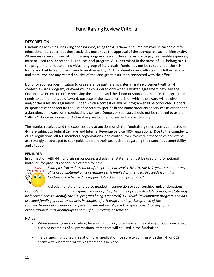## Fund Raising Review Criteria

#### <span id="page-10-1"></span><span id="page-10-0"></span>**DESCRIPTION**

Fundraising activities, including sponsorships, using the 4-H Name and Emblem may be carried out for educational purposes, but these activities must have the approval of the appropriate authorizing entity. All monies received from 4-H fundraising programs, except those necessary to pay reasonable expenses, must be used to support the 4-H educational program. All funds raised in the name of 4-H belong to 4-H the program and not to an individual or group of individuals. Funds may not be raised under the 4-H Name and Emblem and then given to another entity. All fund development efforts must follow federal and state laws and any related policies of the land-grant institution connected with the effort.

Donor or sponsor identification (cross reference partnership criteria) and involvement with a 4-H contest, awards program, or event will be considered only when a written agreement between the Cooperative Extension office receiving the support and the donor or sponsor is in place. The agreement needs to define the type of award, purpose of the award, criteria on which the award will be given, and/or the rules and regulations under which a contest or awards program shall be conducted. Donors or sponsors cannot require the use of or refer to specific brand name products or services as criteria for a donation, an award, or in conducting a contest. Donors or sponsors should not be referred to as the "official" donor or sponsor of 4-H as it implies both endorsement and exclusivity.

The monies received and the expenses paid at auctions or similar fundraising sales events connected to 4-H are subject to federal tax laws and Internal Revenue Service (IRS) regulations. Due to the complexity of IRS regulations, all 4-H members, organizations, and contributors involved in these sales and events are strongly encouraged to seek guidance from their tax advisors regarding their specific accountability and situation.

#### REMINDER

In connection with 4-H fundraising purposes, a disclaimer statement must be used on promotional materials for products or services offered for sale.



*Example: "No endorsement of the product or service by 4-H, the U.S. government, or any of its organizational units or employees is implied or intended. Proceeds from this fundraiser will be used to support 4-H educational programs."* 

A disclaimer statement is also needed in connection to sponsorships and/or donations.

*Example: "\_\_\_\_\_\_\_\_\_\_\_\_\_\_\_ is a sponsor/donor of the [the name of a specific club, county, or state may be inserted here to identify the 4-H program being supported] 4-H Youth Development program and has provided funding, goods, or services in support of 4-H programming. Acceptance of this sponsorship/donation does not imply endorsement by 4-H, the U.S. government, or any of its organizational units or employees of any firm, product, or service."* 

#### **NOTES**

- When reviewing an application, be sure to not only provide examples of any products involved, but also examples of all promotional items that will be used in the fundraiser.
- If a partnership is cited in relation to an application, be sure to confirm with the 4-H or CES entity with whom the written agreement is in place.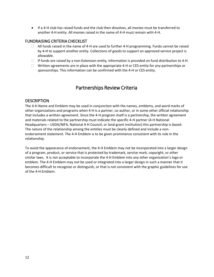• If a 4-H club has raised funds and the club then dissolves, all monies must be transferred to another 4-H entity. All monies raised in the name of 4-H must remain with 4-H.

#### <span id="page-11-0"></span>FUNDRAISING CRITERIA CHECKLIST

- $\Box$  All funds raised in the name of 4-H are used to further 4-H programming. Funds cannot be raised by 4-H to support another entity. Collections of goods to support an approved service project is allowable.
- $\Box$  If funds are raised by a non-Extension entity, information is provided on fund distribution to 4-H.
- $\Box$  Written agreements are in place with the appropriate 4-H or CES entity for any partnerships or sponsorships. This information can be confirmed with the 4-H or CES entity.

## Partnerships Review Criteria

#### <span id="page-11-2"></span><span id="page-11-1"></span>**DESCRIPTION**

The 4-H Name and Emblem may be used in conjunction with the names, emblems, and word marks of other organizations and programs when 4-H is a partner, co-author, or in some other official relationship that includes a written agreement. Since the 4-H program itself is a partnership, the written agreement and materials related to the partnership must indicate the specific 4-H partner (4-H National Headquarters – USDA/NIFA, National 4-H Council, or land-grant institution) this partnership is based. The nature of the relationship among the entities must be clearly defined and include a nonendorsement statement. The 4-H Emblem is to be given prominence consistent with its role in the relationship.

To avoid the appearance of endorsement, the 4-H Emblem may not be incorporated into a larger design of a program, product, or service that is protected by trademark, service mark, copyright, or other similar laws. It is not acceptable to incorporate the 4-H Emblem into any other organization's logo or emblem. The 4-H Emblem may not be used or integrated into a larger design in such a manner that it becomes difficult to recognize or distinguish, or that is not consistent with the graphic guidelines for use of the 4-H Emblem.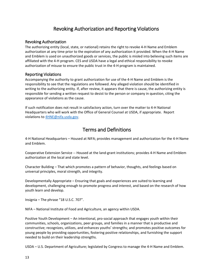## Revoking Authorization and Reporting Violations

#### <span id="page-12-1"></span><span id="page-12-0"></span>Revoking Authorization

The authorizing entity (local, state, or national) retains the right to revoke 4-H Name and Emblem authorization at any time prior to the expiration of any authorization it provided. When the 4-H Name and Emblem is used on unauthorized goods or services, the public is misled into believing such items are affiliated with the 4-H program. CES and USDA have a legal and ethical responsibility to revoke authorization of misuse to ensure the public trust in the 4-H program is maintained.

#### <span id="page-12-2"></span>Reporting Violations

Accompanying the authority to grant authorization for use of the 4-H Name and Emblem is the responsibility to see that the regulations are followed. Any alleged violation should be identified in writing to the authorizing entity. If, after review, it appears that there is cause, the authorizing entity is responsible for sending a written request to desist to the person or company in question, citing the appearance of violations as the cause.

If such notification does not result in satisfactory action, turn over the matter to 4-H National Headquarters who will work with the Office of General Counsel at USDA, if appropriate. Report violations t[o 4HNE@nifa.usda.gov.](mailto:4HNE@nifa.usda.gov)

## Terms and Definitions

<span id="page-12-3"></span>4-H National Headquarters – Housed at NIFA; provides management and authorization for the 4-H Name and Emblem.

Cooperative Extension Service -- Housed at the land-grant institutions; provides 4-H Name and Emblem authorization at the local and state level.

Character Building – That which promotes a pattern of behavior, thoughts, and feelings based on universal principles, moral strength, and integrity.

Developmentally Appropriate – Ensuring that goals and experiences are suited to learning and development, challenging enough to promote progress and interest, and based on the research of how youth learn and develop.

Insignia – The phrase "18 U.S.C. 707".

NIFA – National Institute of Food and Agriculture, an agency within USDA.

Positive Youth Development – An intentional, pro-social approach that engages youth within their communities, schools, organizations, peer groups, and families in a manner that is productive and constructive; recognizes, utilizes, and enhances youths' strengths; and promotes positive outcomes for young people by providing opportunities, fostering positive relationships, and furnishing the support needed to build on their leadership strengths.

USDA – U.S. Department of Agriculture; legislated by Congress to manage the 4-H Name and Emblem.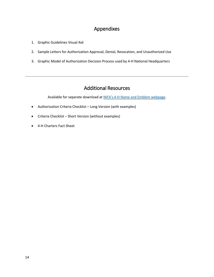## Appendixes

- <span id="page-13-0"></span>1. Graphic Guidelines Visual Aid
- 2. Sample Letters for Authorization Approval, Denial, Revocation, and Unauthorized Use
- 3. Graphic Model of Authorization Decision Process used by 4-H National Headquarters

## Additional Resources

Available for separate download at NIFA's 4-H [Name and Emblem](https://nifa.usda.gov/resource/4-h-name-and-emblem-resources) webpage.

- <span id="page-13-1"></span>• Authorization Criteria Checklist – Long Version (with examples)
- Criteria Checklist Short Version (without examples)
- 4-H Charters Fact Sheet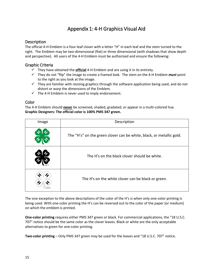## Appendix 1: 4-H Graphics Visual Aid

#### <span id="page-14-1"></span><span id="page-14-0"></span>**Description**

The official 4-H Emblem is a four-leaf clover with a letter "H" in each leaf and the stem turned to the right. The Emblem may be two-dimensional (flat) or three dimensional (with shadows that show depth and perspective). All users of the 4-H Emblem must be authorized and ensure the following:

#### Graphic Criteria

- $\checkmark$  They have obtained the **official** 4-H Emblem and are using it in its entirety.
- $\checkmark$  They do not "flip" the image to create a framed look. The stem on the 4-H Emblem *must* point to the right as you look at the image.
- $\checkmark$  They are familiar with resizing graphics through the software application being used, and do not distort or warp the dimensions of the Emblem.
- $\checkmark$  The 4-H Emblem is never used to imply endorsement.

#### <span id="page-14-2"></span>**Color**

The 4-H Emblem should **never** be screened, shaded, gradated, or appear in a multi-colored hue. **Graphic Designers: The official color is 100% PMS 347 green.**

| Image | Description                                                          |  |  |
|-------|----------------------------------------------------------------------|--|--|
|       | The "H's" on the green clover can be white, black, or metallic gold. |  |  |
|       | The H's on the black clover should be white.                         |  |  |
|       | The H's on the white clover can be black or green.                   |  |  |

The one exception to the above descriptions of the color of the H's is when only one-color printing is being used. With one-color printing the H's can be reversed out to the color of the paper (or medium) on which the emblem is printed.

**One-color printing** requires either PMS 347 green or black. For commercial applications, the "18 U.S.C. 707" notice should be the same color as the clover leaves. Black or white are the only acceptable alternatives to green for one-color printing.

**Two-color printing** – Only PMS 347 green may be used for the leaves and "18 U.S.C. 707" notice.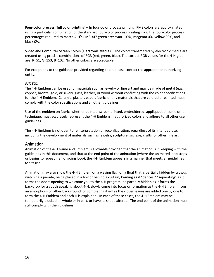**Four-color process (full color printing)** – In four-color process printing, PMS colors are approximated using a particular combination of the standard four-color process printing inks. The four-color process percentages required to match 4-H's PMS 347 green are: cyan 100%, magenta 0%, yellow 90%, and black 0%.

**Video and Computer Screen Colors (Electronic Media)** – The colors transmitted by electronic media are created using precise combinations of RGB (red, green, blue). The correct RGB values for the 4-H green are: R=51, G=153, B=102. No other colors are acceptable.

For exceptions to the guidance provided regarding color, please contact the appropriate authorizing entity.

#### <span id="page-15-0"></span>Artistic

The 4-H Emblem can be used for materials such as jewelry or fine art and may be made of metal (e.g. copper, bronze, gold, or silver), glass, leather, or wood without conflicting with the color specifications for the 4-H Emblem. Ceramic, plaster, paper, fabric, or any materials that are colored or painted must comply with the color specifications and all other guidelines.

Use of the emblem on fabric, whether painted, screen printed, embroidered, appliquéd, or some other technique, must accurately represent the 4-H Emblem in authorized colors and adhere to all other use guidelines.

The 4-H Emblem is not open to reinterpretation or reconfiguration, regardless of its intended use, including the development of materials such as jewelry, sculpture, signage, crafts, or other fine art.

#### <span id="page-15-1"></span>Animation

Animation of the 4-H Name and Emblem is allowable provided that the animation is in keeping with the guidelines in this document, and that at the end point of the animation (where the animated loop stops or begins to repeat if an ongoing loop), the 4-H Emblem appears in a manner that meets all guidelines for its use.

Animation may also show the 4-H Emblem on a waving flag, on a float that is partially hidden by crowds watching a parade, being placed in a box or behind a curtain, twirling as it "dances," "separating" as it forms the doors opening to welcome you to the 4-H program, be partially hidden as it forms the backdrop for a youth speaking about 4-H, slowly come into focus or formation as the 4-H Emblem from an amorphous or other background, or completing itself as the clover leaves are added one by one to form the 4-H Emblem and each H is explained. In each of these cases, the 4-H Emblem may be temporarily blocked, in whole or in part, or have its shape altered. The end point of the animation must still comply with the guidelines.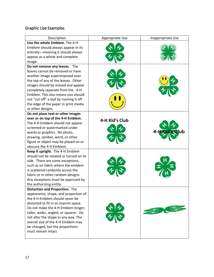## Graphic Use Examples

| Description                            | Appropriate Use | Inappropriate Use |
|----------------------------------------|-----------------|-------------------|
| Use the whole Emblem. The 4-H          |                 |                   |
| Emblem should always appear in its     |                 |                   |
| entirety-meaning it should always      |                 |                   |
| appear as a whole and complete         |                 |                   |
| image.                                 |                 |                   |
| Do not remove any leaves. The          |                 |                   |
| leaves cannot be removed or have       |                 |                   |
| another image superimposed over        |                 |                   |
| the top of any of the leaves. Other    |                 |                   |
| images should be moved and appear      |                 |                   |
| completely separate from the 4-H       |                 |                   |
| Emblem. This also means you should     |                 |                   |
| not "cut off" a leaf by running it off |                 |                   |
| the edge of the paper in print media   |                 |                   |
| or other designs.                      |                 |                   |
| Do not place text or other images      |                 |                   |
| over or on top of the 4-H Emblem.      | 4-H Kid's Club  |                   |
| The 4-H Emblem should not appear       |                 |                   |
| screened or watermarked under          |                 |                   |
| words or graphics. No photo,           |                 |                   |
| drawing, symbol, word, or other        |                 |                   |
| figure or object may be placed on or   |                 |                   |
| obscure the 4-H Emblem.                |                 |                   |
| Keep it upright. The 4-H Emblem        |                 |                   |
| should not be rotated or turned on its |                 |                   |
| side. There are some exceptions,       |                 |                   |
| such as on fabric where the emblem     |                 |                   |
| is scattered randomly across the       |                 |                   |
| fabric or in other random designs.     |                 |                   |
| Any exceptions must be approved by     |                 |                   |
| the authorizing entity.                |                 |                   |
| Distortion and Proportion. The         |                 |                   |
| appearance, shape, and proportion of   |                 |                   |
| the 4-H Emblem should never be         |                 |                   |
| distorted to fit in an imprint space.  |                 |                   |
| Do not make the 4-H Emblem longer,     |                 |                   |
| taller, wider, angled, or squarer. Do  |                 |                   |
| not alter the shape in any way. The    |                 |                   |
| overall size of the 4-H Emblem may     |                 |                   |
| be changed, but the proportions        |                 |                   |
| must remain intact.                    |                 |                   |
|                                        |                 |                   |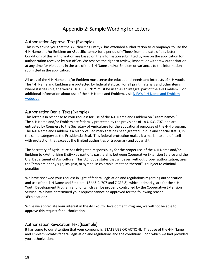## Appendix 2: Sample Wording for Letters

#### <span id="page-17-1"></span><span id="page-17-0"></span>Authorization Approval Text (Example)

This is to advise you that the <Authorizing Entity> has extended authorization to <Company> to use the 4-H Name and/or Emblem on <Specific Items> for a period of <Time> from the date of this letter. Conditions of this authorization are based on the information submitted by you on the application for authorization received by our office. We reserve the right to review, inspect, or withdraw authorization at any time for violations in the use of the 4-H Name and/or Emblem or variances to the information submitted in the application.

All uses of the 4-H Name and/or Emblem must serve the educational needs and interests of 4-H youth. The 4-H Name and Emblem are protected by federal statute. For all print materials and other items where it is feasible, the words "18 U.S.C. 707" must be used as an integral part of the 4-H Emblem. For additional information about use of the 4-H Name and Emblem, visit [NIFA's 4-H Name and Emblem](https://nifa.usda.gov/4-h-name-and-emblem)  [webpage.](https://nifa.usda.gov/4-h-name-and-emblem)

#### <span id="page-17-2"></span>Authorization Denial Text (Example)

This letter is in response to your request for use of the 4-H Name and Emblem on "<item name>." The 4-H Name and/or Emblem are federally protected by the provisions of 18 U.S.C. 707, and are entrusted by Congress to the Secretary of Agriculture for the educational purposes of the 4-H program. The 4-H Name and Emblem is a highly valued mark that has been granted unique and special status, in the same category as the Presidential Seal. This federal protection makes it a mark into and of itself with protection that exceeds the limited authorities of trademark and copyright.

The Secretary of Agriculture has delegated responsibility for the proper use of the 4-H Name and/or Emblem to <Authorizing Entity> as part of a partnership between Cooperative Extension Service and the U.S. Department of Agriculture. This U.S. Code states that whoever, without proper authorization, uses the "emblem or any sign, insignia, or symbol in colorable imitation thereof" is subject to criminal penalties.

We have reviewed your request in light of federal legislation and regulations regarding authorization and use of the 4-H Name and Emblem (18 U.S.C. 707 and 7 CFR 8), which, primarily, are for the 4-H Youth Development Program and for which can be properly controlled by the Cooperative Extension Service. We have determined your request cannot be approved for the following reason: <Explanation>

While we appreciate your interest in the 4-H Youth Development Program, we will not be able to approve this request for authorization.

#### <span id="page-17-3"></span>Authorization Revocation Text (Example)

It has come to our attention that your company is [STATE USE OR ACTION]. That use of the 4-H Name and Emblem violates federal legislation and regulations and the conditions upon which we had provided you authorization.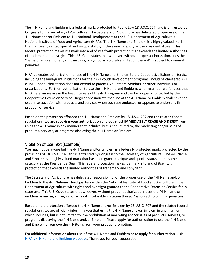The 4-H Name and Emblem is a federal mark, protected by Public Law 18 U.S.C. 707, and is entrusted by Congress to the Secretary of Agriculture. The Secretary of Agriculture has delegated proper use of the 4-H Name and/or Emblem to 4-H National Headquarters at the U.S. Department of Agriculture's National Institute of Food and Agriculture (NIFA). The 4-H Name and Emblem is a highly valued mark that has been granted special and unique status, in the same category as the Presidential Seal. This federal protection makes it a mark into and of itself with protection that exceeds the limited authorities of trademark or copyright. This U.S. Code states that whoever, without proper authorization, uses the "name or emblem or any sign, insignia, or symbol in colorable imitation thereof" is subject to criminal penalties.

NIFA delegates authorization for use of the 4-H Name and Emblem to the Cooperative Extension Service, including the land-grant institutions for their 4-H youth development programs, including chartered 4-H clubs. That authorization does not extend to parents, volunteers, vendors, or other individuals or organizations. Further, authorization to use the 4-H Name and Emblem, when granted, are for uses that NIFA determines are in the best interests of the 4-H program and can be properly controlled by the Cooperative Extension Service. Regulations indicate that use of the 4-H Name or Emblem shall never be used in association with products and services when such use endorses, or appears to endorse, a firm, product, or service.

Based on the protection afforded the 4-H Name and Emblem by 18 U.S.C. 707 and the related federal regulations, **we are revoking your authorization and you must IMMEDIATELY CEASE AND DESIST** from using the 4-H Name in any manner that includes, but is not limited to, the marketing and/or sales of products, services, or programs displaying the 4-H Name or Emblem.

#### <span id="page-18-0"></span>Violation of Use Text (Example)

You may not be aware but the 4-H Name and/or Emblem is a federally protected mark, protected by the provisions of 18 U.S.C. 707, and is entrusted by Congress to the Secretary of Agriculture. The 4-H Name and Emblem is a highly valued mark that has been granted unique and special status, in the same category as the Presidential Seal. This federal protection makes it a mark into and of itself with protection that exceeds the limited authorities of trademark and copyright.

The Secretary of Agriculture has delegated responsibility for the proper use of the 4-H Name and/or Emblem to the 4-H National Headquarters within the National Institute of Food and Agriculture in the Department of Agriculture with rights and oversight granted to the Cooperative Extension Service for instate use. This U.S. Code states that whoever, without proper authorization, uses the "4-H name or emblem or any sign, insignia, or symbol in colorable imitation thereof" is subject to criminal penalties.

Based on the protection afforded the 4-H Name and/or Emblem by 18 U.S.C. 707 and the related federal regulations, we are officially informing you that using the 4-H Name and/or Emblem in any manner which includes, but is not limited to, the prohibition of marketing and/or sales of products, services, or programs displaying the 4-H Name and/or Emblem. Please apply for authorization to use the 4-H Name and Emblem or remove the 4-H items from your product promotion.

For additional information about use of the 4-H Name and Emblem or to apply for authorization, visit [NIFA's 4-H Name and Emblem webpage.](https://nifa.usda.gov/4-h-name-and-emblem) Thank you for your cooperation.